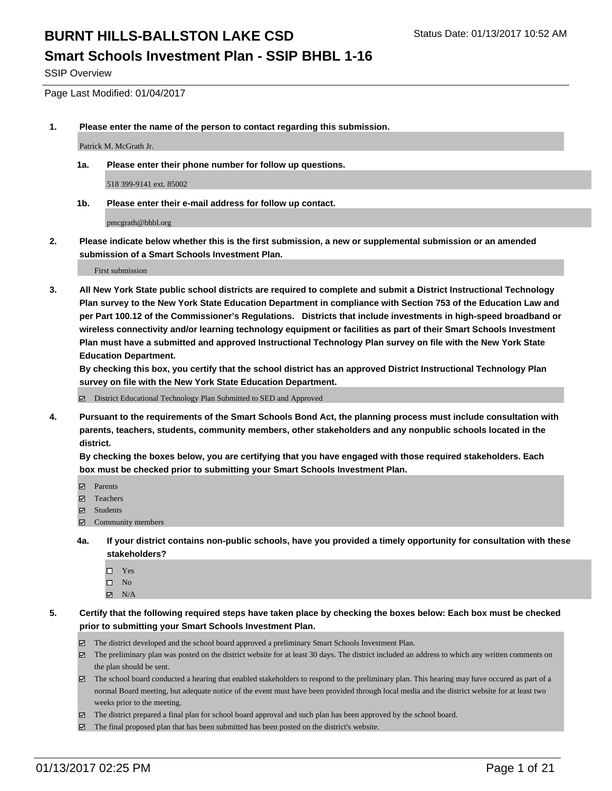### **Smart Schools Investment Plan - SSIP BHBL 1-16**

SSIP Overview

Page Last Modified: 01/04/2017

**1. Please enter the name of the person to contact regarding this submission.**

Patrick M. McGrath Jr.

**1a. Please enter their phone number for follow up questions.**

518 399-9141 ext. 85002

**1b. Please enter their e-mail address for follow up contact.**

pmcgrath@bhbl.org

**2. Please indicate below whether this is the first submission, a new or supplemental submission or an amended submission of a Smart Schools Investment Plan.**

First submission

**3. All New York State public school districts are required to complete and submit a District Instructional Technology Plan survey to the New York State Education Department in compliance with Section 753 of the Education Law and per Part 100.12 of the Commissioner's Regulations. Districts that include investments in high-speed broadband or wireless connectivity and/or learning technology equipment or facilities as part of their Smart Schools Investment Plan must have a submitted and approved Instructional Technology Plan survey on file with the New York State Education Department.** 

**By checking this box, you certify that the school district has an approved District Instructional Technology Plan survey on file with the New York State Education Department.**

District Educational Technology Plan Submitted to SED and Approved

**4. Pursuant to the requirements of the Smart Schools Bond Act, the planning process must include consultation with parents, teachers, students, community members, other stakeholders and any nonpublic schools located in the district.** 

**By checking the boxes below, you are certifying that you have engaged with those required stakeholders. Each box must be checked prior to submitting your Smart Schools Investment Plan.**

- **Parents**
- Teachers
- **冈** Students
- Community members
- **4a. If your district contains non-public schools, have you provided a timely opportunity for consultation with these stakeholders?**
	- □ Yes
	- $\square$  No
	- $\boxtimes$  N/A
- **5. Certify that the following required steps have taken place by checking the boxes below: Each box must be checked prior to submitting your Smart Schools Investment Plan.**
	- The district developed and the school board approved a preliminary Smart Schools Investment Plan.
	- The preliminary plan was posted on the district website for at least 30 days. The district included an address to which any written comments on the plan should be sent.
	- The school board conducted a hearing that enabled stakeholders to respond to the preliminary plan. This hearing may have occured as part of a normal Board meeting, but adequate notice of the event must have been provided through local media and the district website for at least two weeks prior to the meeting.
	- The district prepared a final plan for school board approval and such plan has been approved by the school board.
	- $\boxtimes$  The final proposed plan that has been submitted has been posted on the district's website.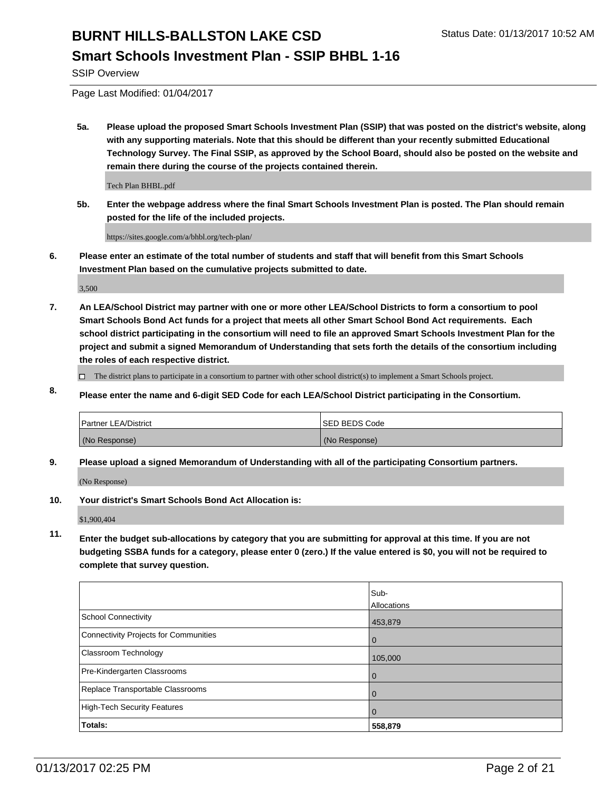### **Smart Schools Investment Plan - SSIP BHBL 1-16**

SSIP Overview

Page Last Modified: 01/04/2017

**5a. Please upload the proposed Smart Schools Investment Plan (SSIP) that was posted on the district's website, along with any supporting materials. Note that this should be different than your recently submitted Educational Technology Survey. The Final SSIP, as approved by the School Board, should also be posted on the website and remain there during the course of the projects contained therein.**

Tech Plan BHBL.pdf

**5b. Enter the webpage address where the final Smart Schools Investment Plan is posted. The Plan should remain posted for the life of the included projects.**

https://sites.google.com/a/bhbl.org/tech-plan/

**6. Please enter an estimate of the total number of students and staff that will benefit from this Smart Schools Investment Plan based on the cumulative projects submitted to date.**

3,500

- **7. An LEA/School District may partner with one or more other LEA/School Districts to form a consortium to pool Smart Schools Bond Act funds for a project that meets all other Smart School Bond Act requirements. Each school district participating in the consortium will need to file an approved Smart Schools Investment Plan for the project and submit a signed Memorandum of Understanding that sets forth the details of the consortium including the roles of each respective district.**
	- $\Box$  The district plans to participate in a consortium to partner with other school district(s) to implement a Smart Schools project.
- **8. Please enter the name and 6-digit SED Code for each LEA/School District participating in the Consortium.**

| <b>Partner LEA/District</b> | <b>ISED BEDS Code</b> |
|-----------------------------|-----------------------|
| (No Response)               | (No Response)         |

**9. Please upload a signed Memorandum of Understanding with all of the participating Consortium partners.**

(No Response)

**10. Your district's Smart Schools Bond Act Allocation is:**

\$1,900,404

**11. Enter the budget sub-allocations by category that you are submitting for approval at this time. If you are not budgeting SSBA funds for a category, please enter 0 (zero.) If the value entered is \$0, you will not be required to complete that survey question.**

|                                       | Sub-        |
|---------------------------------------|-------------|
|                                       | Allocations |
| School Connectivity                   | 453,879     |
| Connectivity Projects for Communities | 0           |
| <b>Classroom Technology</b>           | 105,000     |
| Pre-Kindergarten Classrooms           |             |
| Replace Transportable Classrooms      |             |
| High-Tech Security Features           | 0           |
| Totals:                               | 558,879     |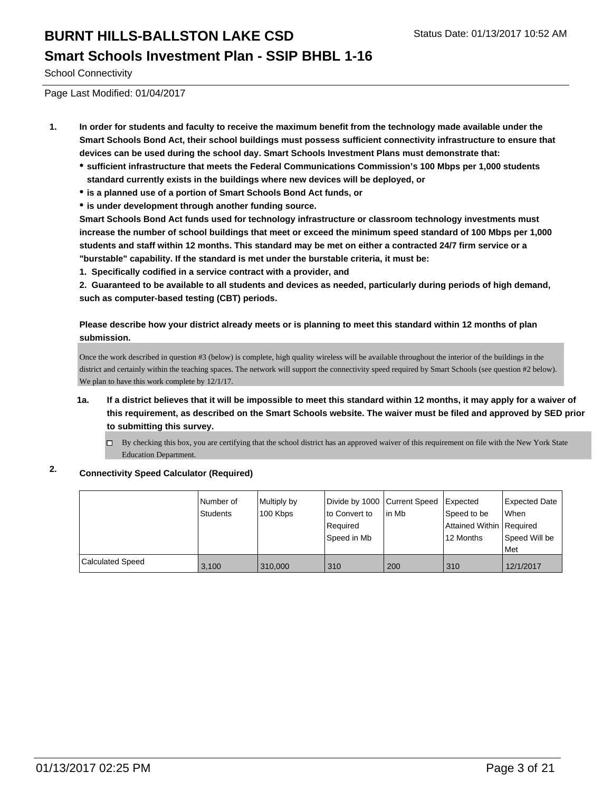### **Smart Schools Investment Plan - SSIP BHBL 1-16**

School Connectivity

Page Last Modified: 01/04/2017

- **1. In order for students and faculty to receive the maximum benefit from the technology made available under the Smart Schools Bond Act, their school buildings must possess sufficient connectivity infrastructure to ensure that devices can be used during the school day. Smart Schools Investment Plans must demonstrate that:**
	- **sufficient infrastructure that meets the Federal Communications Commission's 100 Mbps per 1,000 students standard currently exists in the buildings where new devices will be deployed, or**
	- **is a planned use of a portion of Smart Schools Bond Act funds, or**
	- **is under development through another funding source.**

**Smart Schools Bond Act funds used for technology infrastructure or classroom technology investments must increase the number of school buildings that meet or exceed the minimum speed standard of 100 Mbps per 1,000 students and staff within 12 months. This standard may be met on either a contracted 24/7 firm service or a "burstable" capability. If the standard is met under the burstable criteria, it must be:**

**1. Specifically codified in a service contract with a provider, and**

**2. Guaranteed to be available to all students and devices as needed, particularly during periods of high demand, such as computer-based testing (CBT) periods.**

**Please describe how your district already meets or is planning to meet this standard within 12 months of plan submission.**

Once the work described in question #3 (below) is complete, high quality wireless will be available throughout the interior of the buildings in the district and certainly within the teaching spaces. The network will support the connectivity speed required by Smart Schools (see question #2 below). We plan to have this work complete by 12/1/17.

- **1a. If a district believes that it will be impossible to meet this standard within 12 months, it may apply for a waiver of this requirement, as described on the Smart Schools website. The waiver must be filed and approved by SED prior to submitting this survey.**
	- □ By checking this box, you are certifying that the school district has an approved waiver of this requirement on file with the New York State Education Department.
- **2. Connectivity Speed Calculator (Required)**

|                  | Number of<br>Students | Multiply by<br>100 Kbps | Divide by 1000 Current Speed Expected<br>lto Convert to<br>Required<br>Speed in Mb | lin Mb | Speed to be<br>Attained Within   Required<br>12 Months | Expected Date<br><b>When</b><br>Speed Will be<br>l Met |
|------------------|-----------------------|-------------------------|------------------------------------------------------------------------------------|--------|--------------------------------------------------------|--------------------------------------------------------|
| Calculated Speed | 3.100                 | 310,000                 | 310                                                                                | 200    | 310                                                    | 12/1/2017                                              |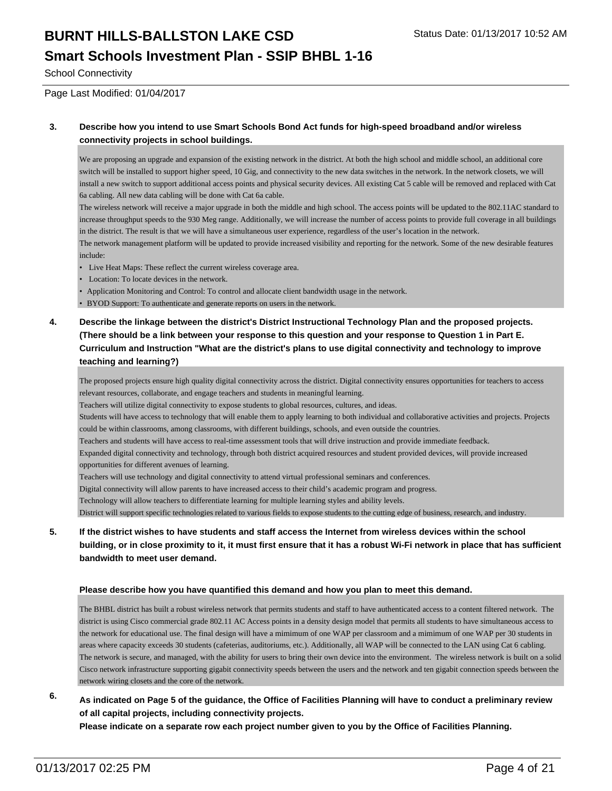### **Smart Schools Investment Plan - SSIP BHBL 1-16**

School Connectivity

Page Last Modified: 01/04/2017

#### **3. Describe how you intend to use Smart Schools Bond Act funds for high-speed broadband and/or wireless connectivity projects in school buildings.**

We are proposing an upgrade and expansion of the existing network in the district. At both the high school and middle school, an additional core switch will be installed to support higher speed, 10 Gig, and connectivity to the new data switches in the network. In the network closets, we will install a new switch to support additional access points and physical security devices. All existing Cat 5 cable will be removed and replaced with Cat 6a cabling. All new data cabling will be done with Cat 6a cable.

The wireless network will receive a major upgrade in both the middle and high school. The access points will be updated to the 802.11AC standard to increase throughput speeds to the 930 Meg range. Additionally, we will increase the number of access points to provide full coverage in all buildings in the district. The result is that we will have a simultaneous user experience, regardless of the user's location in the network.

The network management platform will be updated to provide increased visibility and reporting for the network. Some of the new desirable features include:

- Live Heat Maps: These reflect the current wireless coverage area.
- Location: To locate devices in the network.
- Application Monitoring and Control: To control and allocate client bandwidth usage in the network.
- BYOD Support: To authenticate and generate reports on users in the network.
- **4. Describe the linkage between the district's District Instructional Technology Plan and the proposed projects. (There should be a link between your response to this question and your response to Question 1 in Part E. Curriculum and Instruction "What are the district's plans to use digital connectivity and technology to improve teaching and learning?)**

The proposed projects ensure high quality digital connectivity across the district. Digital connectivity ensures opportunities for teachers to access relevant resources, collaborate, and engage teachers and students in meaningful learning.

Teachers will utilize digital connectivity to expose students to global resources, cultures, and ideas.

Students will have access to technology that will enable them to apply learning to both individual and collaborative activities and projects. Projects could be within classrooms, among classrooms, with different buildings, schools, and even outside the countries.

Teachers and students will have access to real-time assessment tools that will drive instruction and provide immediate feedback.

Expanded digital connectivity and technology, through both district acquired resources and student provided devices, will provide increased opportunities for different avenues of learning.

Teachers will use technology and digital connectivity to attend virtual professional seminars and conferences.

Digital connectivity will allow parents to have increased access to their child's academic program and progress.

Technology will allow teachers to differentiate learning for multiple learning styles and ability levels.

District will support specific technologies related to various fields to expose students to the cutting edge of business, research, and industry.

**5. If the district wishes to have students and staff access the Internet from wireless devices within the school building, or in close proximity to it, it must first ensure that it has a robust Wi-Fi network in place that has sufficient bandwidth to meet user demand.**

#### **Please describe how you have quantified this demand and how you plan to meet this demand.**

The BHBL district has built a robust wireless network that permits students and staff to have authenticated access to a content filtered network. The district is using Cisco commercial grade 802.11 AC Access points in a density design model that permits all students to have simultaneous access to the network for educational use. The final design will have a mimimum of one WAP per classroom and a mimimum of one WAP per 30 students in areas where capacity exceeds 30 students (cafeterias, auditoriums, etc.). Additionally, all WAP will be connected to the LAN using Cat 6 cabling. The network is secure, and managed, with the ability for users to bring their own device into the environment. The wireless network is built on a solid Cisco network infrastructure supporting gigabit connectivity speeds between the users and the network and ten gigabit connection speeds between the network wiring closets and the core of the network.

### **6. As indicated on Page 5 of the guidance, the Office of Facilities Planning will have to conduct a preliminary review of all capital projects, including connectivity projects.**

**Please indicate on a separate row each project number given to you by the Office of Facilities Planning.**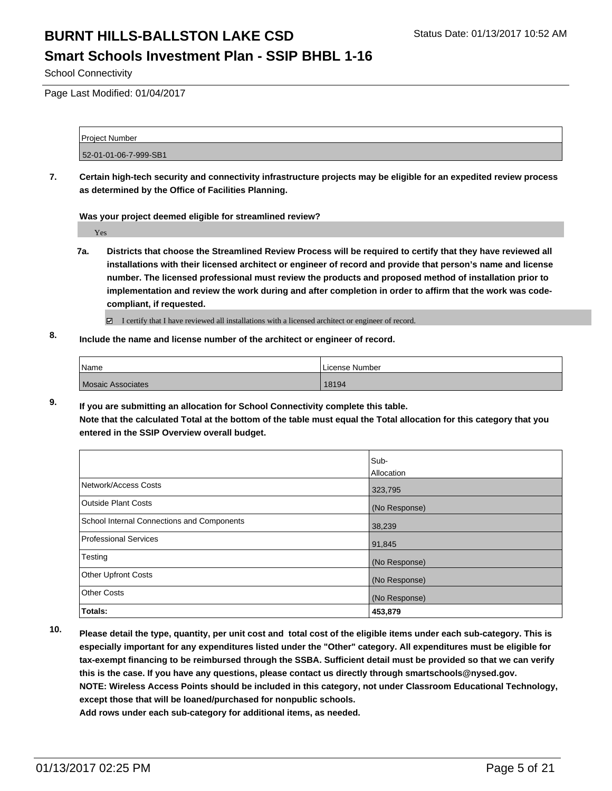### **Smart Schools Investment Plan - SSIP BHBL 1-16**

School Connectivity

Page Last Modified: 01/04/2017

| <b>Project Number</b> |  |
|-----------------------|--|
|                       |  |
| 52-01-01-06-7-999-SB1 |  |

**7. Certain high-tech security and connectivity infrastructure projects may be eligible for an expedited review process as determined by the Office of Facilities Planning.**

#### **Was your project deemed eligible for streamlined review?**

Yes

- **7a. Districts that choose the Streamlined Review Process will be required to certify that they have reviewed all installations with their licensed architect or engineer of record and provide that person's name and license number. The licensed professional must review the products and proposed method of installation prior to implementation and review the work during and after completion in order to affirm that the work was codecompliant, if requested.**
	- I certify that I have reviewed all installations with a licensed architect or engineer of record.
- **8. Include the name and license number of the architect or engineer of record.**

| <sup>1</sup> Name        | License Number |
|--------------------------|----------------|
| <b>Mosaic Associates</b> | 18194          |

**9. If you are submitting an allocation for School Connectivity complete this table.**

**Note that the calculated Total at the bottom of the table must equal the Total allocation for this category that you entered in the SSIP Overview overall budget.** 

|                                                   | Sub-<br>Allocation |
|---------------------------------------------------|--------------------|
| Network/Access Costs                              | 323,795            |
| <b>Outside Plant Costs</b>                        | (No Response)      |
| <b>School Internal Connections and Components</b> | 38,239             |
| Professional Services                             | 91,845             |
| Testing                                           | (No Response)      |
| Other Upfront Costs                               | (No Response)      |
| <b>Other Costs</b>                                | (No Response)      |
| Totals:                                           | 453,879            |

**10. Please detail the type, quantity, per unit cost and total cost of the eligible items under each sub-category. This is especially important for any expenditures listed under the "Other" category. All expenditures must be eligible for tax-exempt financing to be reimbursed through the SSBA. Sufficient detail must be provided so that we can verify this is the case. If you have any questions, please contact us directly through smartschools@nysed.gov. NOTE: Wireless Access Points should be included in this category, not under Classroom Educational Technology, except those that will be loaned/purchased for nonpublic schools.**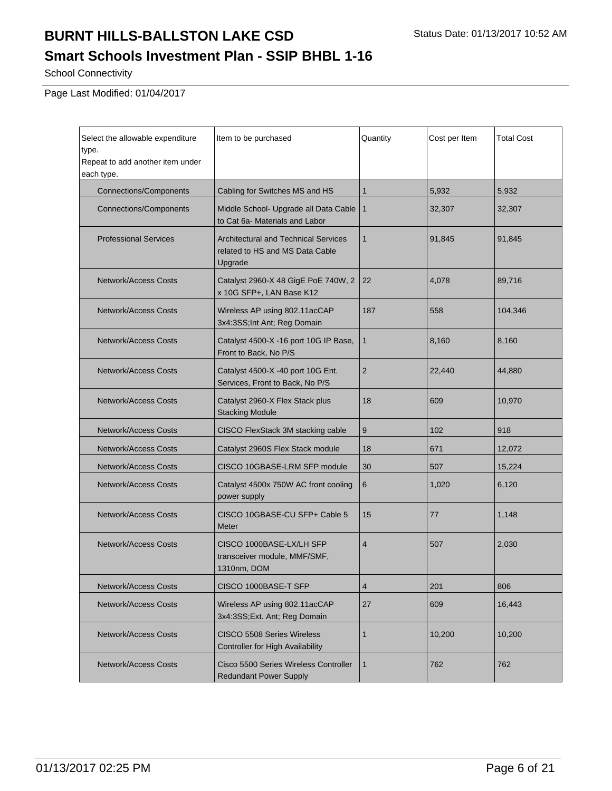## **Smart Schools Investment Plan - SSIP BHBL 1-16**

School Connectivity

Page Last Modified: 01/04/2017

| Select the allowable expenditure<br>type.<br>Repeat to add another item under<br>each type. | Item to be purchased<br>Quantity                                                          |                | Cost per Item | <b>Total Cost</b> |
|---------------------------------------------------------------------------------------------|-------------------------------------------------------------------------------------------|----------------|---------------|-------------------|
| <b>Connections/Components</b>                                                               | Cabling for Switches MS and HS                                                            | $\mathbf{1}$   | 5,932         | 5,932             |
| <b>Connections/Components</b>                                                               | Middle School- Upgrade all Data Cable<br>to Cat 6a- Materials and Labor                   | $\mathbf{1}$   | 32,307        | 32,307            |
| <b>Professional Services</b>                                                                | <b>Architectural and Technical Services</b><br>related to HS and MS Data Cable<br>Upgrade | $\mathbf{1}$   | 91,845        | 91,845            |
| <b>Network/Access Costs</b>                                                                 | Catalyst 2960-X 48 GigE PoE 740W, 2<br>x 10G SFP+, LAN Base K12                           | 22             | 4,078         | 89,716            |
| <b>Network/Access Costs</b>                                                                 | Wireless AP using 802.11acCAP<br>3x4:3SS;Int Ant; Reg Domain                              | 187            | 558           | 104,346           |
| <b>Network/Access Costs</b>                                                                 | Catalyst 4500-X -16 port 10G IP Base,<br>Front to Back, No P/S                            | $\mathbf{1}$   | 8,160         | 8,160             |
| <b>Network/Access Costs</b>                                                                 | Catalyst 4500-X -40 port 10G Ent.<br>Services, Front to Back, No P/S                      | $\overline{2}$ | 22,440        | 44,880            |
| <b>Network/Access Costs</b>                                                                 | Catalyst 2960-X Flex Stack plus<br><b>Stacking Module</b>                                 | 18             | 609           | 10.970            |
| <b>Network/Access Costs</b>                                                                 | CISCO FlexStack 3M stacking cable                                                         | 9              | 102           | 918               |
| <b>Network/Access Costs</b>                                                                 | Catalyst 2960S Flex Stack module                                                          | 18             | 671           | 12,072            |
| <b>Network/Access Costs</b>                                                                 | CISCO 10GBASE-LRM SFP module                                                              | 30             | 507           | 15,224            |
| <b>Network/Access Costs</b>                                                                 | Catalyst 4500x 750W AC front cooling<br>power supply                                      | 6              | 1,020         | 6,120             |
| <b>Network/Access Costs</b>                                                                 | CISCO 10GBASE-CU SFP+ Cable 5<br>Meter                                                    | 15             | 77            | 1,148             |
| <b>Network/Access Costs</b>                                                                 | CISCO 1000BASE-LX/LH SFP<br>transceiver module, MMF/SMF,<br>1310nm, DOM                   | $\overline{4}$ | 507           | 2,030             |
| <b>Network/Access Costs</b>                                                                 | CISCO 1000BASE-T SFP                                                                      | 4              | 201           | 806               |
| Network/Access Costs                                                                        | Wireless AP using 802.11acCAP<br>3x4:3SS;Ext. Ant; Reg Domain                             | 27             | 609           | 16,443            |
| <b>Network/Access Costs</b>                                                                 | CISCO 5508 Series Wireless<br>Controller for High Availability                            | 1              | 10,200        | 10,200            |
| <b>Network/Access Costs</b>                                                                 | Cisco 5500 Series Wireless Controller<br><b>Redundant Power Supply</b>                    | $\mathbf{1}$   | 762           | 762               |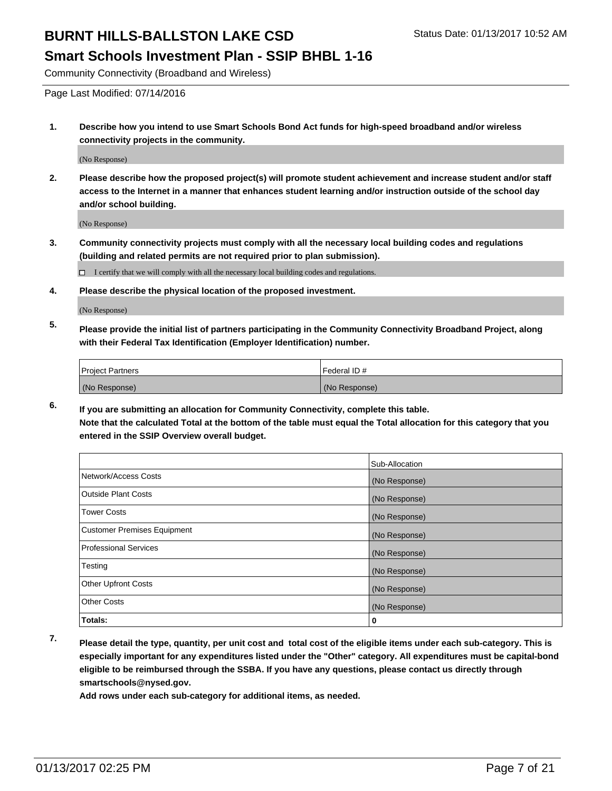### **Smart Schools Investment Plan - SSIP BHBL 1-16**

Community Connectivity (Broadband and Wireless)

Page Last Modified: 07/14/2016

**1. Describe how you intend to use Smart Schools Bond Act funds for high-speed broadband and/or wireless connectivity projects in the community.**

(No Response)

**2. Please describe how the proposed project(s) will promote student achievement and increase student and/or staff access to the Internet in a manner that enhances student learning and/or instruction outside of the school day and/or school building.**

(No Response)

**3. Community connectivity projects must comply with all the necessary local building codes and regulations (building and related permits are not required prior to plan submission).**

 $\Box$  I certify that we will comply with all the necessary local building codes and regulations.

**4. Please describe the physical location of the proposed investment.**

(No Response)

**5. Please provide the initial list of partners participating in the Community Connectivity Broadband Project, along with their Federal Tax Identification (Employer Identification) number.**

| <b>Project Partners</b> | <b>IFederal ID#</b> |
|-------------------------|---------------------|
| (No Response)           | (No Response)       |

**6. If you are submitting an allocation for Community Connectivity, complete this table. Note that the calculated Total at the bottom of the table must equal the Total allocation for this category that you entered in the SSIP Overview overall budget.**

|                                    | Sub-Allocation |
|------------------------------------|----------------|
| Network/Access Costs               | (No Response)  |
| <b>Outside Plant Costs</b>         | (No Response)  |
| <b>Tower Costs</b>                 | (No Response)  |
| <b>Customer Premises Equipment</b> | (No Response)  |
| <b>Professional Services</b>       | (No Response)  |
| Testing                            | (No Response)  |
| <b>Other Upfront Costs</b>         | (No Response)  |
| <b>Other Costs</b>                 | (No Response)  |
| Totals:                            | 0              |

**7. Please detail the type, quantity, per unit cost and total cost of the eligible items under each sub-category. This is especially important for any expenditures listed under the "Other" category. All expenditures must be capital-bond eligible to be reimbursed through the SSBA. If you have any questions, please contact us directly through smartschools@nysed.gov.**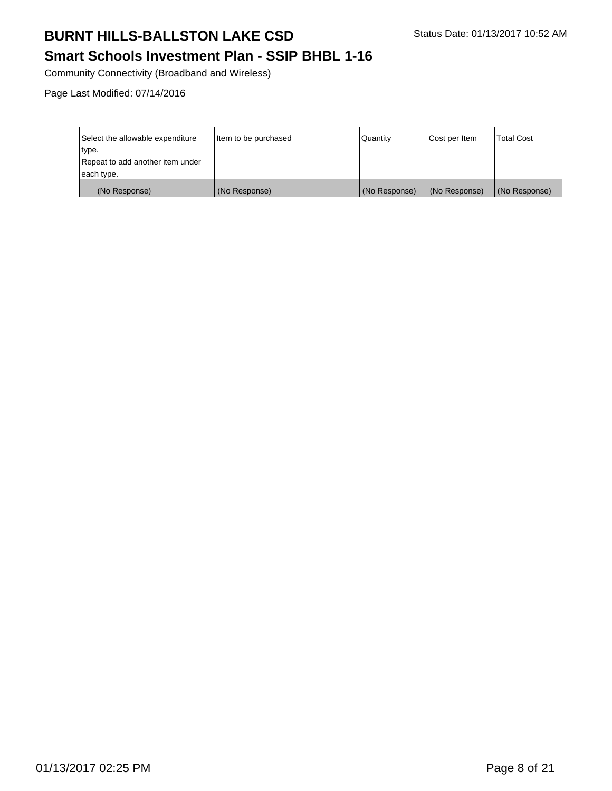## **Smart Schools Investment Plan - SSIP BHBL 1-16**

Community Connectivity (Broadband and Wireless)

Page Last Modified: 07/14/2016

| Select the allowable expenditure | litem to be purchased | l Quantitv    | Cost per Item | <b>Total Cost</b> |
|----------------------------------|-----------------------|---------------|---------------|-------------------|
| type.                            |                       |               |               |                   |
| Repeat to add another item under |                       |               |               |                   |
| each type.                       |                       |               |               |                   |
| (No Response)                    | (No Response)         | (No Response) | (No Response) | (No Response)     |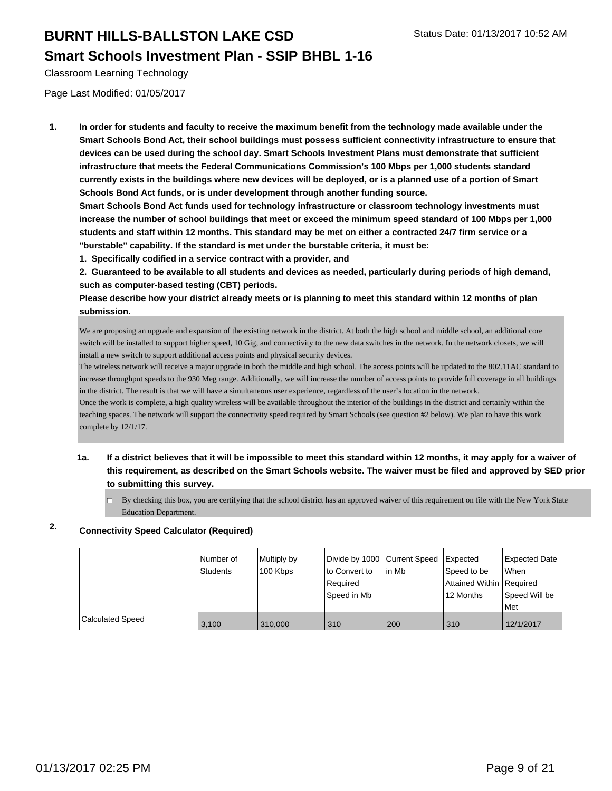### **Smart Schools Investment Plan - SSIP BHBL 1-16**

Classroom Learning Technology

Page Last Modified: 01/05/2017

**1. In order for students and faculty to receive the maximum benefit from the technology made available under the Smart Schools Bond Act, their school buildings must possess sufficient connectivity infrastructure to ensure that devices can be used during the school day. Smart Schools Investment Plans must demonstrate that sufficient infrastructure that meets the Federal Communications Commission's 100 Mbps per 1,000 students standard currently exists in the buildings where new devices will be deployed, or is a planned use of a portion of Smart Schools Bond Act funds, or is under development through another funding source.**

**Smart Schools Bond Act funds used for technology infrastructure or classroom technology investments must increase the number of school buildings that meet or exceed the minimum speed standard of 100 Mbps per 1,000 students and staff within 12 months. This standard may be met on either a contracted 24/7 firm service or a "burstable" capability. If the standard is met under the burstable criteria, it must be:**

**1. Specifically codified in a service contract with a provider, and**

**2. Guaranteed to be available to all students and devices as needed, particularly during periods of high demand, such as computer-based testing (CBT) periods.**

**Please describe how your district already meets or is planning to meet this standard within 12 months of plan submission.**

We are proposing an upgrade and expansion of the existing network in the district. At both the high school and middle school, an additional core switch will be installed to support higher speed, 10 Gig, and connectivity to the new data switches in the network. In the network closets, we will install a new switch to support additional access points and physical security devices.

The wireless network will receive a major upgrade in both the middle and high school. The access points will be updated to the 802.11AC standard to increase throughput speeds to the 930 Meg range. Additionally, we will increase the number of access points to provide full coverage in all buildings in the district. The result is that we will have a simultaneous user experience, regardless of the user's location in the network.

Once the work is complete, a high quality wireless will be available throughout the interior of the buildings in the district and certainly within the teaching spaces. The network will support the connectivity speed required by Smart Schools (see question #2 below). We plan to have this work complete by 12/1/17.

**1a. If a district believes that it will be impossible to meet this standard within 12 months, it may apply for a waiver of this requirement, as described on the Smart Schools website. The waiver must be filed and approved by SED prior to submitting this survey.**

 $\Box$  By checking this box, you are certifying that the school district has an approved waiver of this requirement on file with the New York State Education Department.

### **2. Connectivity Speed Calculator (Required)**

|                         | l Number of<br>Students | Multiply by<br>100 Kbps | Divide by 1000 Current Speed<br>to Convert to<br>Required<br>Speed in Mb | lin Mb | Expected<br>Speed to be<br>Attained Within Required<br>12 Months | <b>Expected Date</b><br>l When<br>Speed Will be<br>l Met |
|-------------------------|-------------------------|-------------------------|--------------------------------------------------------------------------|--------|------------------------------------------------------------------|----------------------------------------------------------|
| <b>Calculated Speed</b> | 3.100                   | 310,000                 | 310                                                                      | 200    | 310                                                              | 12/1/2017                                                |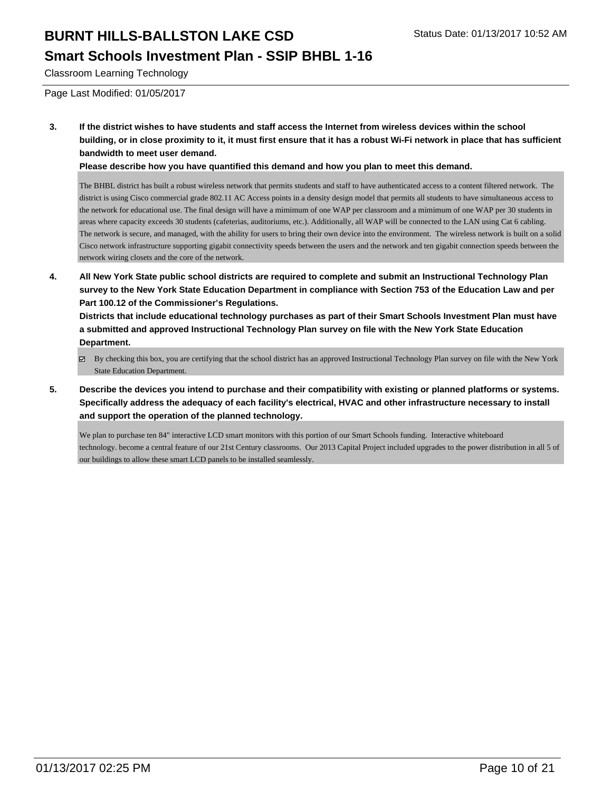### **Smart Schools Investment Plan - SSIP BHBL 1-16**

Classroom Learning Technology

Page Last Modified: 01/05/2017

**3. If the district wishes to have students and staff access the Internet from wireless devices within the school building, or in close proximity to it, it must first ensure that it has a robust Wi-Fi network in place that has sufficient bandwidth to meet user demand.**

**Please describe how you have quantified this demand and how you plan to meet this demand.**

The BHBL district has built a robust wireless network that permits students and staff to have authenticated access to a content filtered network. The district is using Cisco commercial grade 802.11 AC Access points in a density design model that permits all students to have simultaneous access to the network for educational use. The final design will have a mimimum of one WAP per classroom and a mimimum of one WAP per 30 students in areas where capacity exceeds 30 students (cafeterias, auditoriums, etc.). Additionally, all WAP will be connected to the LAN using Cat 6 cabling. The network is secure, and managed, with the ability for users to bring their own device into the environment. The wireless network is built on a solid Cisco network infrastructure supporting gigabit connectivity speeds between the users and the network and ten gigabit connection speeds between the network wiring closets and the core of the network.

**4. All New York State public school districts are required to complete and submit an Instructional Technology Plan survey to the New York State Education Department in compliance with Section 753 of the Education Law and per Part 100.12 of the Commissioner's Regulations.**

**Districts that include educational technology purchases as part of their Smart Schools Investment Plan must have a submitted and approved Instructional Technology Plan survey on file with the New York State Education Department.**

- $\boxtimes$  By checking this box, you are certifying that the school district has an approved Instructional Technology Plan survey on file with the New York State Education Department.
- **5. Describe the devices you intend to purchase and their compatibility with existing or planned platforms or systems. Specifically address the adequacy of each facility's electrical, HVAC and other infrastructure necessary to install and support the operation of the planned technology.**

We plan to purchase ten 84" interactive LCD smart monitors with this portion of our Smart Schools funding. Interactive whiteboard technology. become a central feature of our 21st Century classrooms. Our 2013 Capital Project included upgrades to the power distribution in all 5 of our buildings to allow these smart LCD panels to be installed seamlessly.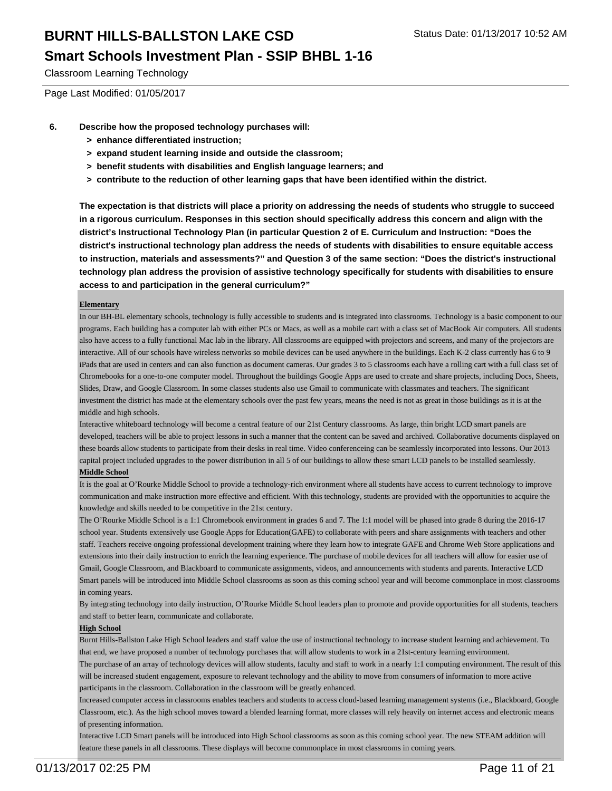### **Smart Schools Investment Plan - SSIP BHBL 1-16**

Classroom Learning Technology

Page Last Modified: 01/05/2017

#### **6. Describe how the proposed technology purchases will:**

- **> enhance differentiated instruction;**
- **> expand student learning inside and outside the classroom;**
- **> benefit students with disabilities and English language learners; and**
- **> contribute to the reduction of other learning gaps that have been identified within the district.**

**The expectation is that districts will place a priority on addressing the needs of students who struggle to succeed in a rigorous curriculum. Responses in this section should specifically address this concern and align with the district's Instructional Technology Plan (in particular Question 2 of E. Curriculum and Instruction: "Does the district's instructional technology plan address the needs of students with disabilities to ensure equitable access to instruction, materials and assessments?" and Question 3 of the same section: "Does the district's instructional technology plan address the provision of assistive technology specifically for students with disabilities to ensure access to and participation in the general curriculum?"**

#### **Elementary**

In our BH-BL elementary schools, technology is fully accessible to students and is integrated into classrooms. Technology is a basic component to our programs. Each building has a computer lab with either PCs or Macs, as well as a mobile cart with a class set of MacBook Air computers. All students also have access to a fully functional Mac lab in the library. All classrooms are equipped with projectors and screens, and many of the projectors are interactive. All of our schools have wireless networks so mobile devices can be used anywhere in the buildings. Each K-2 class currently has 6 to 9 iPads that are used in centers and can also function as document cameras. Our grades 3 to 5 classrooms each have a rolling cart with a full class set of Chromebooks for a one-to-one computer model. Throughout the buildings Google Apps are used to create and share projects, including Docs, Sheets, Slides, Draw, and Google Classroom. In some classes students also use Gmail to communicate with classmates and teachers. The significant investment the district has made at the elementary schools over the past few years, means the need is not as great in those buildings as it is at the middle and high schools.

Interactive whiteboard technology will become a central feature of our 21st Century classrooms. As large, thin bright LCD smart panels are developed, teachers will be able to project lessons in such a manner that the content can be saved and archived. Collaborative documents displayed on these boards allow students to participate from their desks in real time. Video conferenceing can be seamlessly incorporated into lessons. Our 2013 capital project included upgrades to the power distribution in all 5 of our buildings to allow these smart LCD panels to be installed seamlessly. **Middle School**

It is the goal at O'Rourke Middle School to provide a technology-rich environment where all students have access to current technology to improve communication and make instruction more effective and efficient. With this technology, students are provided with the opportunities to acquire the knowledge and skills needed to be competitive in the 21st century.

The O'Rourke Middle School is a 1:1 Chromebook environment in grades 6 and 7. The 1:1 model will be phased into grade 8 during the 2016-17 school year. Students extensively use Google Apps for Education(GAFE) to collaborate with peers and share assignments with teachers and other staff. Teachers receive ongoing professional development training where they learn how to integrate GAFE and Chrome Web Store applications and extensions into their daily instruction to enrich the learning experience. The purchase of mobile devices for all teachers will allow for easier use of Gmail, Google Classroom, and Blackboard to communicate assignments, videos, and announcements with students and parents. Interactive LCD Smart panels will be introduced into Middle School classrooms as soon as this coming school year and will become commonplace in most classrooms in coming years.

By integrating technology into daily instruction, O'Rourke Middle School leaders plan to promote and provide opportunities for all students, teachers and staff to better learn, communicate and collaborate.

#### **High School**

Burnt Hills-Ballston Lake High School leaders and staff value the use of instructional technology to increase student learning and achievement. To that end, we have proposed a number of technology purchases that will allow students to work in a 21st-century learning environment.

The purchase of an array of technology devices will allow students, faculty and staff to work in a nearly 1:1 computing environment. The result of this will be increased student engagement, exposure to relevant technology and the ability to move from consumers of information to more active participants in the classroom. Collaboration in the classroom will be greatly enhanced.

Increased computer access in classrooms enables teachers and students to access cloud-based learning management systems (i.e., Blackboard, Google Classroom, etc.). As the high school moves toward a blended learning format, more classes will rely heavily on internet access and electronic means of presenting information.

Interactive LCD Smart panels will be introduced into High School classrooms as soon as this coming school year. The new STEAM addition will feature these panels in all classrooms. These displays will become commonplace in most classrooms in coming years.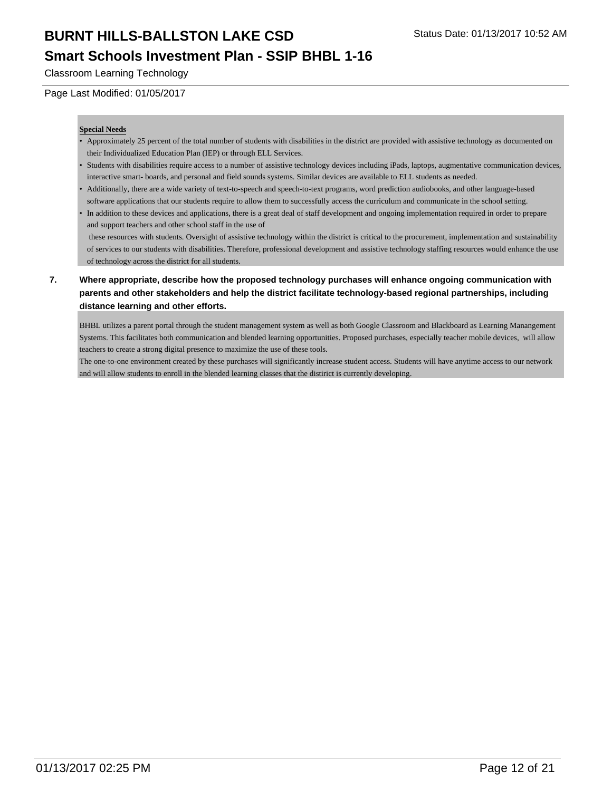### **Smart Schools Investment Plan - SSIP BHBL 1-16**

Classroom Learning Technology

Page Last Modified: 01/05/2017

#### **Special Needs**

- Approximately 25 percent of the total number of students with disabilities in the district are provided with assistive technology as documented on their Individualized Education Plan (IEP) or through ELL Services.
- Students with disabilities require access to a number of assistive technology devices including iPads, laptops, augmentative communication devices, interactive smart- boards, and personal and field sounds systems. Similar devices are available to ELL students as needed.
- Additionally, there are a wide variety of text-to-speech and speech-to-text programs, word prediction audiobooks, and other language-based software applications that our students require to allow them to successfully access the curriculum and communicate in the school setting.
- In addition to these devices and applications, there is a great deal of staff development and ongoing implementation required in order to prepare and support teachers and other school staff in the use of

 these resources with students. Oversight of assistive technology within the district is critical to the procurement, implementation and sustainability of services to our students with disabilities. Therefore, professional development and assistive technology staffing resources would enhance the use of technology across the district for all students.

#### **7. Where appropriate, describe how the proposed technology purchases will enhance ongoing communication with parents and other stakeholders and help the district facilitate technology-based regional partnerships, including distance learning and other efforts.**

BHBL utilizes a parent portal through the student management system as well as both Google Classroom and Blackboard as Learning Manangement Systems. This facilitates both communication and blended learning opportunities. Proposed purchases, especially teacher mobile devices, will allow teachers to create a strong digital presence to maximize the use of these tools.

The one-to-one environment created by these purchases will significantly increase student access. Students will have anytime access to our network and will allow students to enroll in the blended learning classes that the distirict is currently developing.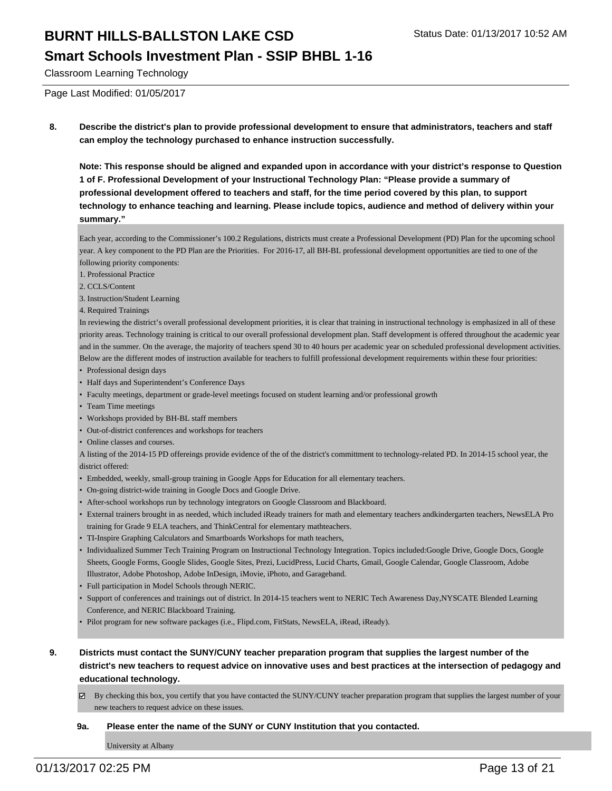### **Smart Schools Investment Plan - SSIP BHBL 1-16**

Classroom Learning Technology

Page Last Modified: 01/05/2017

#### **8. Describe the district's plan to provide professional development to ensure that administrators, teachers and staff can employ the technology purchased to enhance instruction successfully.**

**Note: This response should be aligned and expanded upon in accordance with your district's response to Question 1 of F. Professional Development of your Instructional Technology Plan: "Please provide a summary of professional development offered to teachers and staff, for the time period covered by this plan, to support technology to enhance teaching and learning. Please include topics, audience and method of delivery within your summary."**

Each year, according to the Commissioner's 100.2 Regulations, districts must create a Professional Development (PD) Plan for the upcoming school year. A key component to the PD Plan are the Priorities. For 2016-17, all BH-BL professional development opportunities are tied to one of the following priority components:

- 1. Professional Practice
- 2. CCLS/Content
- 3. Instruction/Student Learning
- 4. Required Trainings

In reviewing the district's overall professional development priorities, it is clear that training in instructional technology is emphasized in all of these priority areas. Technology training is critical to our overall professional development plan. Staff development is offered throughout the academic year and in the summer. On the average, the majority of teachers spend 30 to 40 hours per academic year on scheduled professional development activities. Below are the different modes of instruction available for teachers to fulfill professional development requirements within these four priorities:

- Professional design days
- Half days and Superintendent's Conference Days
- Faculty meetings, department or grade-level meetings focused on student learning and/or professional growth
- Team Time meetings
- Workshops provided by BH-BL staff members
- Out-of-district conferences and workshops for teachers
- Online classes and courses.

A listing of the 2014-15 PD offereings provide evidence of the of the district's committment to technology-related PD. In 2014-15 school year, the district offered:

- Embedded, weekly, small-group training in Google Apps for Education for all elementary teachers.
- On-going district-wide training in Google Docs and Google Drive.
- After-school workshops run by technology integrators on Google Classroom and Blackboard.
- External trainers brought in as needed, which included iReady trainers for math and elementary teachers andkindergarten teachers, NewsELA Pro training for Grade 9 ELA teachers, and ThinkCentral for elementary mathteachers.
- TI-Inspire Graphing Calculators and Smartboards Workshops for math teachers,
- Individualized Summer Tech Training Program on Instructional Technology Integration. Topics included:Google Drive, Google Docs, Google Sheets, Google Forms, Google Slides, Google Sites, Prezi, LucidPress, Lucid Charts, Gmail, Google Calendar, Google Classroom, Adobe Illustrator, Adobe Photoshop, Adobe InDesign, iMovie, iPhoto, and Garageband.
- Full participation in Model Schools through NERIC.
- Support of conferences and trainings out of district. In 2014-15 teachers went to NERIC Tech Awareness Day,NYSCATE Blended Learning Conference, and NERIC Blackboard Training.
- Pilot program for new software packages (i.e., Flipd.com, FitStats, NewsELA, iRead, iReady).
- **9. Districts must contact the SUNY/CUNY teacher preparation program that supplies the largest number of the district's new teachers to request advice on innovative uses and best practices at the intersection of pedagogy and educational technology.**
	- $\boxtimes$  By checking this box, you certify that you have contacted the SUNY/CUNY teacher preparation program that supplies the largest number of your new teachers to request advice on these issues.

#### **9a. Please enter the name of the SUNY or CUNY Institution that you contacted.**

University at Albany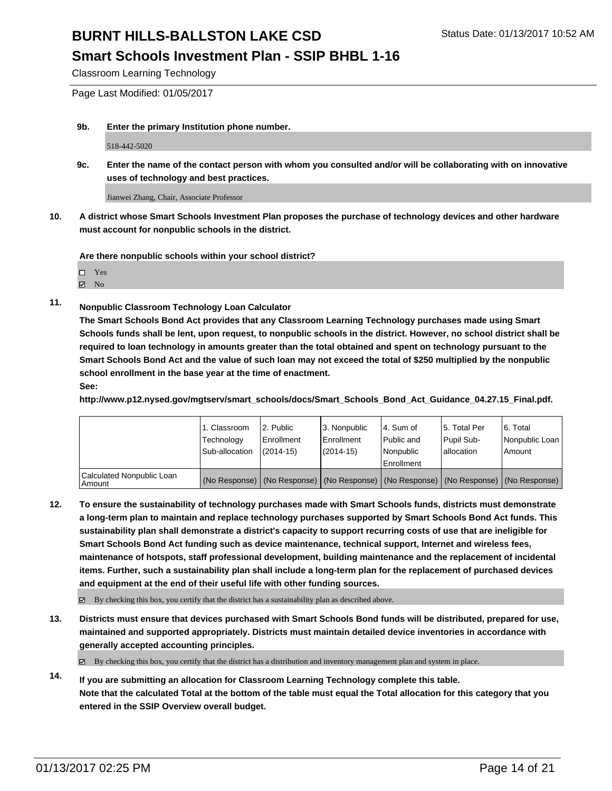### **Smart Schools Investment Plan - SSIP BHBL 1-16**

Classroom Learning Technology

Page Last Modified: 01/05/2017

**9b. Enter the primary Institution phone number.**

518-442-5020

**9c. Enter the name of the contact person with whom you consulted and/or will be collaborating with on innovative uses of technology and best practices.**

Jianwei Zhang, Chair, Associate Professor

**10. A district whose Smart Schools Investment Plan proposes the purchase of technology devices and other hardware must account for nonpublic schools in the district.**

**Are there nonpublic schools within your school district?**

- **Ø** No
- **11. Nonpublic Classroom Technology Loan Calculator**

**The Smart Schools Bond Act provides that any Classroom Learning Technology purchases made using Smart Schools funds shall be lent, upon request, to nonpublic schools in the district. However, no school district shall be required to loan technology in amounts greater than the total obtained and spent on technology pursuant to the Smart Schools Bond Act and the value of such loan may not exceed the total of \$250 multiplied by the nonpublic school enrollment in the base year at the time of enactment.**

**See:**

**http://www.p12.nysed.gov/mgtserv/smart\_schools/docs/Smart\_Schools\_Bond\_Act\_Guidance\_04.27.15\_Final.pdf.**

|                                     | 1. Classroom<br>Technology<br>Sub-allocation | 2. Public<br>Enrollment<br>$(2014 - 15)$ | 3. Nonpublic<br>Enrollment<br>$(2014 - 15)$ | l 4. Sum of<br>l Public and<br>l Nonpublic<br>Enrollment | 5. Total Per<br>Pupil Sub-<br>lallocation                                                     | 16. Total<br>Nonpublic Loan<br>Amount |
|-------------------------------------|----------------------------------------------|------------------------------------------|---------------------------------------------|----------------------------------------------------------|-----------------------------------------------------------------------------------------------|---------------------------------------|
| Calculated Nonpublic Loan<br>Amount |                                              |                                          |                                             |                                                          | (No Response)   (No Response)   (No Response)   (No Response)   (No Response)   (No Response) |                                       |

**12. To ensure the sustainability of technology purchases made with Smart Schools funds, districts must demonstrate a long-term plan to maintain and replace technology purchases supported by Smart Schools Bond Act funds. This sustainability plan shall demonstrate a district's capacity to support recurring costs of use that are ineligible for Smart Schools Bond Act funding such as device maintenance, technical support, Internet and wireless fees, maintenance of hotspots, staff professional development, building maintenance and the replacement of incidental items. Further, such a sustainability plan shall include a long-term plan for the replacement of purchased devices and equipment at the end of their useful life with other funding sources.**

 $\boxtimes$  By checking this box, you certify that the district has a sustainability plan as described above.

**13. Districts must ensure that devices purchased with Smart Schools Bond funds will be distributed, prepared for use, maintained and supported appropriately. Districts must maintain detailed device inventories in accordance with generally accepted accounting principles.**

 $\boxtimes$  By checking this box, you certify that the district has a distribution and inventory management plan and system in place.

**14. If you are submitting an allocation for Classroom Learning Technology complete this table. Note that the calculated Total at the bottom of the table must equal the Total allocation for this category that you entered in the SSIP Overview overall budget.**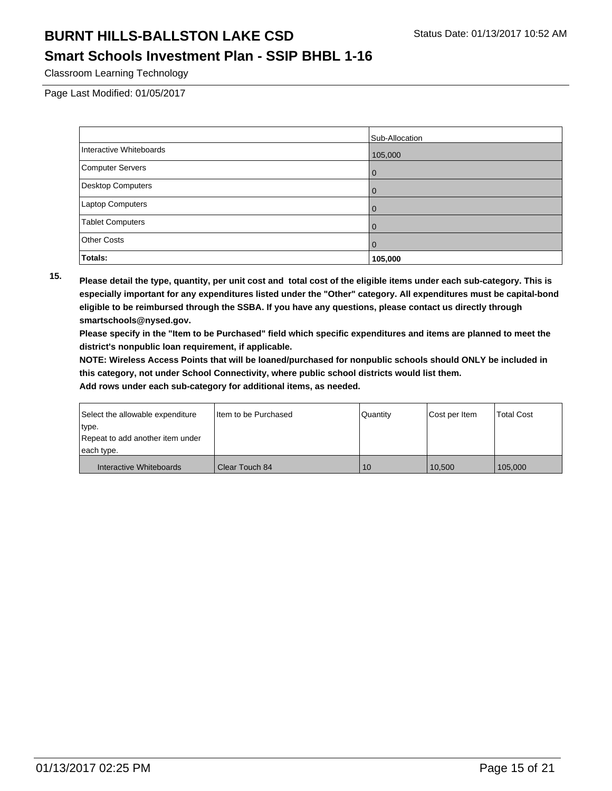### **Smart Schools Investment Plan - SSIP BHBL 1-16**

Classroom Learning Technology

Page Last Modified: 01/05/2017

|                          | Sub-Allocation |
|--------------------------|----------------|
| Interactive Whiteboards  | 105,000        |
| Computer Servers         |                |
| <b>Desktop Computers</b> | U              |
| <b>Laptop Computers</b>  |                |
| <b>Tablet Computers</b>  |                |
| <b>Other Costs</b>       |                |
| Totals:                  | 105,000        |

**15. Please detail the type, quantity, per unit cost and total cost of the eligible items under each sub-category. This is especially important for any expenditures listed under the "Other" category. All expenditures must be capital-bond eligible to be reimbursed through the SSBA. If you have any questions, please contact us directly through smartschools@nysed.gov.**

**Please specify in the "Item to be Purchased" field which specific expenditures and items are planned to meet the district's nonpublic loan requirement, if applicable.**

**NOTE: Wireless Access Points that will be loaned/purchased for nonpublic schools should ONLY be included in this category, not under School Connectivity, where public school districts would list them.**

| Select the allowable expenditure | Iltem to be Purchased | Quantity | Cost per Item | <b>Total Cost</b> |
|----------------------------------|-----------------------|----------|---------------|-------------------|
| ∣type.                           |                       |          |               |                   |
| Repeat to add another item under |                       |          |               |                   |
| each type.                       |                       |          |               |                   |
| Interactive Whiteboards          | Clear Touch 84        | 10       | 10.500        | 105.000           |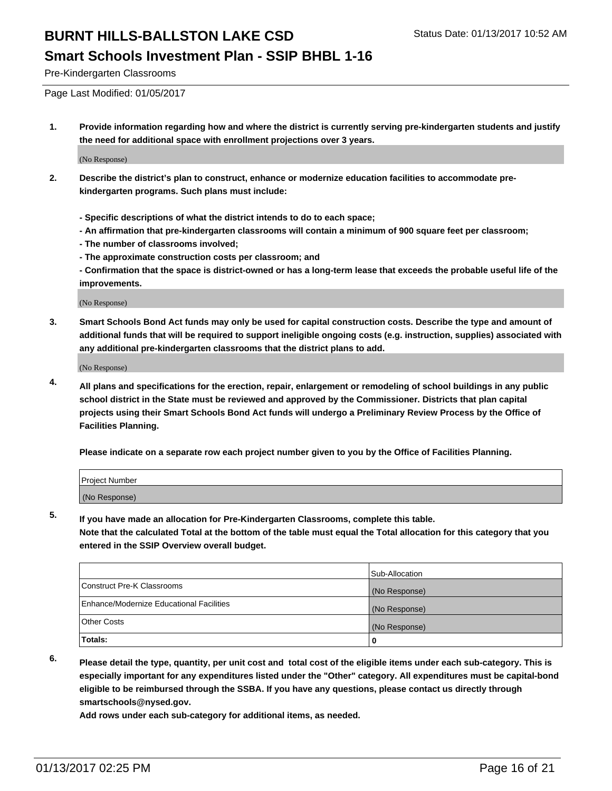### **Smart Schools Investment Plan - SSIP BHBL 1-16**

Pre-Kindergarten Classrooms

Page Last Modified: 01/05/2017

**1. Provide information regarding how and where the district is currently serving pre-kindergarten students and justify the need for additional space with enrollment projections over 3 years.**

(No Response)

- **2. Describe the district's plan to construct, enhance or modernize education facilities to accommodate prekindergarten programs. Such plans must include:**
	- **Specific descriptions of what the district intends to do to each space;**
	- **An affirmation that pre-kindergarten classrooms will contain a minimum of 900 square feet per classroom;**
	- **The number of classrooms involved;**
	- **The approximate construction costs per classroom; and**
	- **Confirmation that the space is district-owned or has a long-term lease that exceeds the probable useful life of the improvements.**

(No Response)

**3. Smart Schools Bond Act funds may only be used for capital construction costs. Describe the type and amount of additional funds that will be required to support ineligible ongoing costs (e.g. instruction, supplies) associated with any additional pre-kindergarten classrooms that the district plans to add.**

(No Response)

**4. All plans and specifications for the erection, repair, enlargement or remodeling of school buildings in any public school district in the State must be reviewed and approved by the Commissioner. Districts that plan capital projects using their Smart Schools Bond Act funds will undergo a Preliminary Review Process by the Office of Facilities Planning.**

**Please indicate on a separate row each project number given to you by the Office of Facilities Planning.**

| Project Number |  |  |
|----------------|--|--|
| (No Response)  |  |  |

**5. If you have made an allocation for Pre-Kindergarten Classrooms, complete this table.**

**Note that the calculated Total at the bottom of the table must equal the Total allocation for this category that you entered in the SSIP Overview overall budget.**

|                                          | Sub-Allocation |
|------------------------------------------|----------------|
| Construct Pre-K Classrooms               | (No Response)  |
| Enhance/Modernize Educational Facilities | (No Response)  |
| <b>Other Costs</b>                       | (No Response)  |
| Totals:                                  | 0              |

**6. Please detail the type, quantity, per unit cost and total cost of the eligible items under each sub-category. This is especially important for any expenditures listed under the "Other" category. All expenditures must be capital-bond eligible to be reimbursed through the SSBA. If you have any questions, please contact us directly through smartschools@nysed.gov.**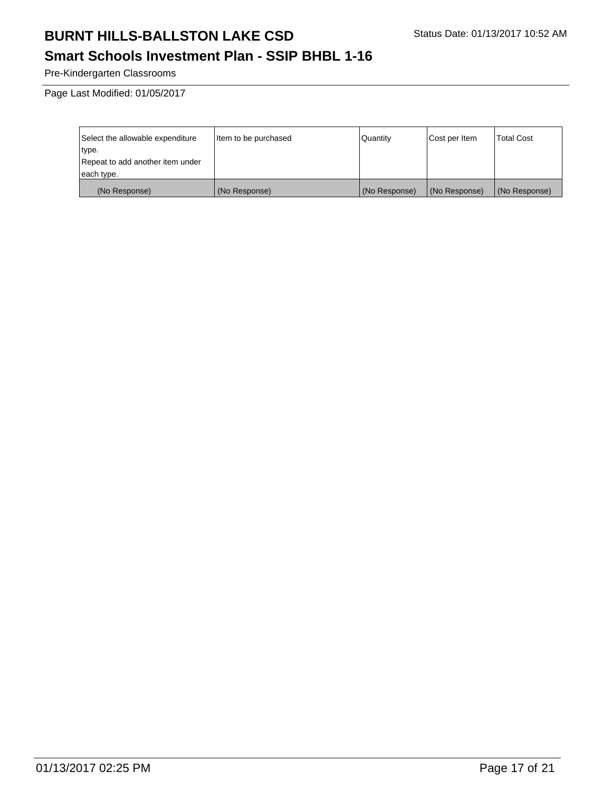## **Smart Schools Investment Plan - SSIP BHBL 1-16**

Pre-Kindergarten Classrooms

Page Last Modified: 01/05/2017

| Select the allowable expenditure | Item to be purchased | l Quantitv    | Cost per Item | <b>Total Cost</b> |
|----------------------------------|----------------------|---------------|---------------|-------------------|
| type.                            |                      |               |               |                   |
| Repeat to add another item under |                      |               |               |                   |
| each type.                       |                      |               |               |                   |
| (No Response)                    | (No Response)        | (No Response) | (No Response) | (No Response)     |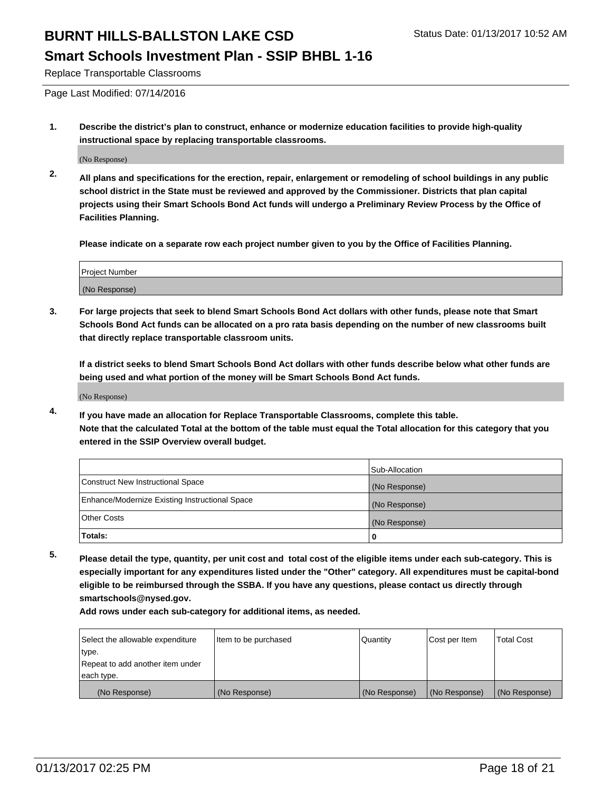### **Smart Schools Investment Plan - SSIP BHBL 1-16**

Replace Transportable Classrooms

Page Last Modified: 07/14/2016

**1. Describe the district's plan to construct, enhance or modernize education facilities to provide high-quality instructional space by replacing transportable classrooms.**

(No Response)

**2. All plans and specifications for the erection, repair, enlargement or remodeling of school buildings in any public school district in the State must be reviewed and approved by the Commissioner. Districts that plan capital projects using their Smart Schools Bond Act funds will undergo a Preliminary Review Process by the Office of Facilities Planning.**

**Please indicate on a separate row each project number given to you by the Office of Facilities Planning.**

| <b>Project Number</b> |  |
|-----------------------|--|
| (No Response)         |  |

**3. For large projects that seek to blend Smart Schools Bond Act dollars with other funds, please note that Smart Schools Bond Act funds can be allocated on a pro rata basis depending on the number of new classrooms built that directly replace transportable classroom units.**

**If a district seeks to blend Smart Schools Bond Act dollars with other funds describe below what other funds are being used and what portion of the money will be Smart Schools Bond Act funds.**

(No Response)

**4. If you have made an allocation for Replace Transportable Classrooms, complete this table. Note that the calculated Total at the bottom of the table must equal the Total allocation for this category that you entered in the SSIP Overview overall budget.**

|                                                | Sub-Allocation |
|------------------------------------------------|----------------|
| Construct New Instructional Space              | (No Response)  |
| Enhance/Modernize Existing Instructional Space | (No Response)  |
| <b>Other Costs</b>                             | (No Response)  |
| Totals:                                        |                |

**5. Please detail the type, quantity, per unit cost and total cost of the eligible items under each sub-category. This is especially important for any expenditures listed under the "Other" category. All expenditures must be capital-bond eligible to be reimbursed through the SSBA. If you have any questions, please contact us directly through smartschools@nysed.gov.**

| Select the allowable expenditure | Item to be purchased | Quantity      | Cost per Item | <b>Total Cost</b> |
|----------------------------------|----------------------|---------------|---------------|-------------------|
| type.                            |                      |               |               |                   |
| Repeat to add another item under |                      |               |               |                   |
| each type.                       |                      |               |               |                   |
| (No Response)                    | (No Response)        | (No Response) | (No Response) | (No Response)     |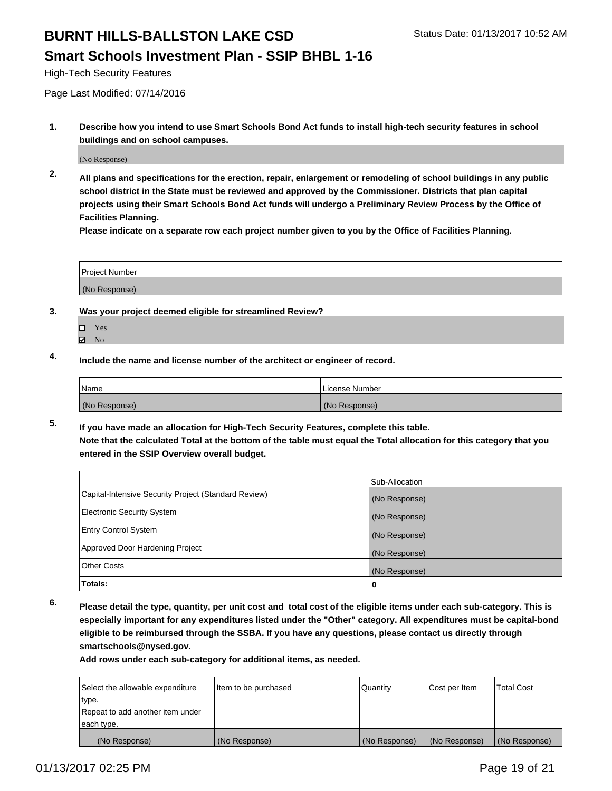### **Smart Schools Investment Plan - SSIP BHBL 1-16**

High-Tech Security Features

Page Last Modified: 07/14/2016

**1. Describe how you intend to use Smart Schools Bond Act funds to install high-tech security features in school buildings and on school campuses.**

(No Response)

**2. All plans and specifications for the erection, repair, enlargement or remodeling of school buildings in any public school district in the State must be reviewed and approved by the Commissioner. Districts that plan capital projects using their Smart Schools Bond Act funds will undergo a Preliminary Review Process by the Office of Facilities Planning.** 

**Please indicate on a separate row each project number given to you by the Office of Facilities Planning.**

| <b>Project Number</b> |  |
|-----------------------|--|
| (No Response)         |  |

- **3. Was your project deemed eligible for streamlined Review?**
	- □ Yes
	- $\boxtimes$  No
- **4. Include the name and license number of the architect or engineer of record.**

| <sup>1</sup> Name | License Number |
|-------------------|----------------|
| (No Response)     | (No Response)  |

**5. If you have made an allocation for High-Tech Security Features, complete this table. Note that the calculated Total at the bottom of the table must equal the Total allocation for this category that you entered in the SSIP Overview overall budget.**

|                                                      | Sub-Allocation |
|------------------------------------------------------|----------------|
| Capital-Intensive Security Project (Standard Review) | (No Response)  |
| <b>Electronic Security System</b>                    | (No Response)  |
| <b>Entry Control System</b>                          | (No Response)  |
| Approved Door Hardening Project                      | (No Response)  |
| <b>Other Costs</b>                                   | (No Response)  |
| Totals:                                              | 0              |

**6. Please detail the type, quantity, per unit cost and total cost of the eligible items under each sub-category. This is especially important for any expenditures listed under the "Other" category. All expenditures must be capital-bond eligible to be reimbursed through the SSBA. If you have any questions, please contact us directly through smartschools@nysed.gov.**

| Select the allowable expenditure | Item to be purchased | Quantity      | Cost per Item | <b>Total Cost</b> |
|----------------------------------|----------------------|---------------|---------------|-------------------|
| type.                            |                      |               |               |                   |
| Repeat to add another item under |                      |               |               |                   |
| each type.                       |                      |               |               |                   |
| (No Response)                    | (No Response)        | (No Response) | (No Response) | (No Response)     |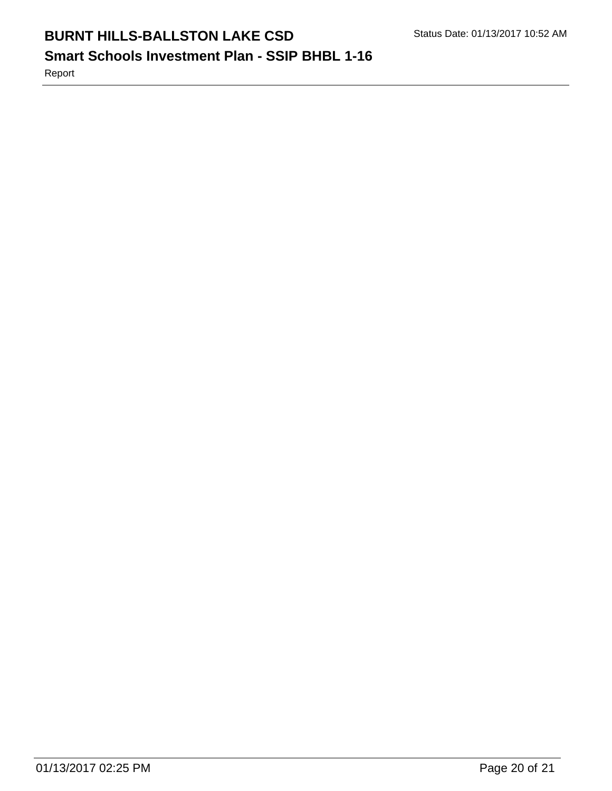**Smart Schools Investment Plan - SSIP BHBL 1-16**

Report